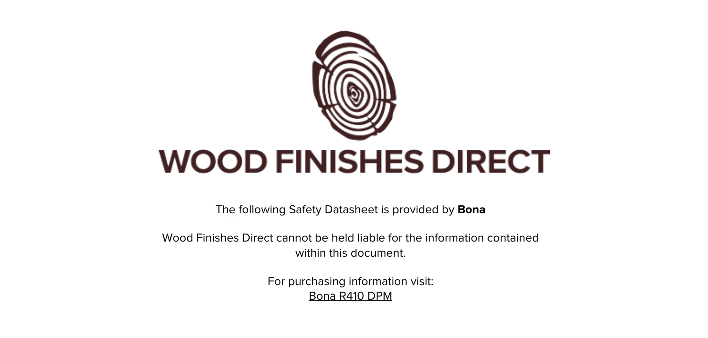

The following Safety Datasheet is provided by **Bona**

Wood Finishes Direct cannot be held liable for the information contained within this document.

> For purchasing information visit: [Bona R410 DPM](https://www.wood-finishes-direct.com/product/bona-r410-dpm)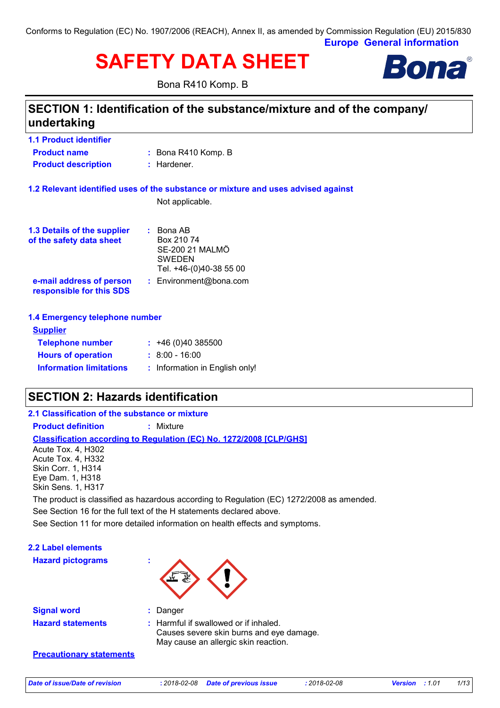Conforms to Regulation (EC) No. 1907/2006 (REACH), Annex II, as amended by Commission Regulation (EU) 2015/830

**Europe General information**

# **SAFETY DATA SHEET**

Bona R410 Komp. B



# **SECTION 1: Identification of the substance/mixture and of the company/ undertaking**

| <b>1.1 Product identifier</b>                           |                                                                                                      |
|---------------------------------------------------------|------------------------------------------------------------------------------------------------------|
| <b>Product name</b>                                     | : Bona R410 Komp. B                                                                                  |
| <b>Product description</b>                              | : Hardener.                                                                                          |
|                                                         | 1.2 Relevant identified uses of the substance or mixture and uses advised against<br>Not applicable. |
| 1.3 Details of the supplier<br>of the safety data sheet | $\therefore$ Bona AB<br>Box 210 74<br>SE-200 21 MALMO<br><b>SWEDEN</b><br>Tel. +46-(0)40-38 55 00    |
| e-mail address of person<br>responsible for this SDS    | : Environment@bona.com                                                                               |
| 1.4 Emergency telephone number                          |                                                                                                      |
| <b>Supplier</b>                                         |                                                                                                      |
| <b>Telephone number</b>                                 | : 46(0)40385500                                                                                      |
| <b>Hours of operation</b>                               | $: 8.00 - 16.00$                                                                                     |

# **SECTION 2: Hazards identification**

**Information limitations**

### **Classification according to Regulation (EC) No. 1272/2008 [CLP/GHS] 2.1 Classification of the substance or mixture Product definition :** Mixture See Section 16 for the full text of the H statements declared above. Acute Tox. 4, H302 Acute Tox. 4, H332 Skin Corr. 1, H314 Eye Dam. 1, H318 Skin Sens. 1, H317 The product is classified as hazardous according to Regulation (EC) 1272/2008 as amended.

**:** Information in English only!

See Section 11 for more detailed information on health effects and symptoms.

| <b>2.2 Label elements</b><br><b>Hazard pictograms</b> |                                                                                                                           |
|-------------------------------------------------------|---------------------------------------------------------------------------------------------------------------------------|
| <b>Signal word</b>                                    | Danger                                                                                                                    |
| <b>Hazard statements</b>                              | : Harmful if swallowed or if inhaled.<br>Causes severe skin burns and eye damage.<br>May cause an allergic skin reaction. |

**Precautionary statements**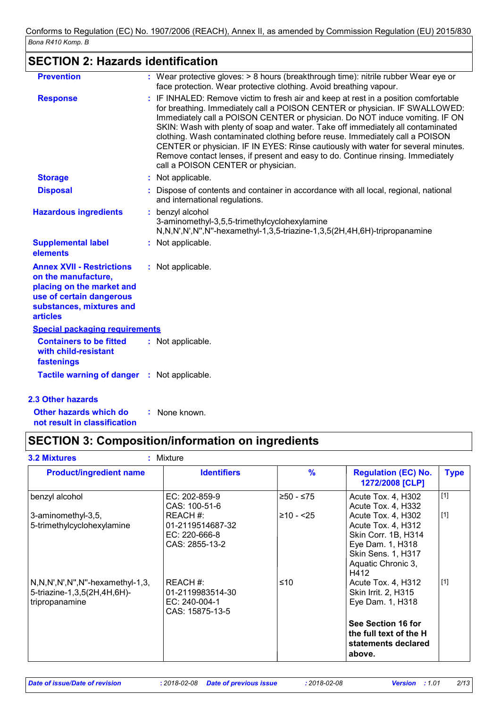# **SECTION 2: Hazards identification**

| <b>Prevention</b>                                                                                                                                               | : Wear protective gloves: > 8 hours (breakthrough time): nitrile rubber Wear eye or<br>face protection. Wear protective clothing. Avoid breathing vapour.                                                                                                                                                                                                                                                                                                                                                                                                                                                                           |
|-----------------------------------------------------------------------------------------------------------------------------------------------------------------|-------------------------------------------------------------------------------------------------------------------------------------------------------------------------------------------------------------------------------------------------------------------------------------------------------------------------------------------------------------------------------------------------------------------------------------------------------------------------------------------------------------------------------------------------------------------------------------------------------------------------------------|
| <b>Response</b>                                                                                                                                                 | : IF INHALED: Remove victim to fresh air and keep at rest in a position comfortable<br>for breathing. Immediately call a POISON CENTER or physician. IF SWALLOWED:<br>Immediately call a POISON CENTER or physician. Do NOT induce vomiting. IF ON<br>SKIN: Wash with plenty of soap and water. Take off immediately all contaminated<br>clothing. Wash contaminated clothing before reuse. Immediately call a POISON<br>CENTER or physician. IF IN EYES: Rinse cautiously with water for several minutes.<br>Remove contact lenses, if present and easy to do. Continue rinsing. Immediately<br>call a POISON CENTER or physician. |
| <b>Storage</b>                                                                                                                                                  | : Not applicable.                                                                                                                                                                                                                                                                                                                                                                                                                                                                                                                                                                                                                   |
| <b>Disposal</b>                                                                                                                                                 | : Dispose of contents and container in accordance with all local, regional, national<br>and international regulations.                                                                                                                                                                                                                                                                                                                                                                                                                                                                                                              |
| <b>Hazardous ingredients</b>                                                                                                                                    | benzyl alcohol<br>3-aminomethyl-3,5,5-trimethylcyclohexylamine<br>N,N,N',N',N'',N''-hexamethyl-1,3,5-triazine-1,3,5(2H,4H,6H)-tripropanamine                                                                                                                                                                                                                                                                                                                                                                                                                                                                                        |
| <b>Supplemental label</b><br>elements                                                                                                                           | : Not applicable.                                                                                                                                                                                                                                                                                                                                                                                                                                                                                                                                                                                                                   |
| <b>Annex XVII - Restrictions</b><br>on the manufacture,<br>placing on the market and<br>use of certain dangerous<br>substances, mixtures and<br><b>articles</b> | : Not applicable.                                                                                                                                                                                                                                                                                                                                                                                                                                                                                                                                                                                                                   |
| <b>Special packaging requirements</b>                                                                                                                           |                                                                                                                                                                                                                                                                                                                                                                                                                                                                                                                                                                                                                                     |
| <b>Containers to be fitted</b><br>with child-resistant<br>fastenings                                                                                            | : Not applicable.                                                                                                                                                                                                                                                                                                                                                                                                                                                                                                                                                                                                                   |
| <b>Tactile warning of danger : Not applicable.</b>                                                                                                              |                                                                                                                                                                                                                                                                                                                                                                                                                                                                                                                                                                                                                                     |
| <b>2.3 Other hazards</b>                                                                                                                                        |                                                                                                                                                                                                                                                                                                                                                                                                                                                                                                                                                                                                                                     |

**Other hazards which do not result in classification :** None known.

# **SECTION 3: Composition/information on ingredients**

| <b>Identifiers</b>                                               | $\frac{9}{6}$ | <b>Regulation (EC) No.</b><br>1272/2008 [CLP]                                                                                           | <b>Type</b>         |
|------------------------------------------------------------------|---------------|-----------------------------------------------------------------------------------------------------------------------------------------|---------------------|
| EC: 202-859-9<br>CAS: 100-51-6                                   | ≥50 - ≤75     | Acute Tox. 4, H302<br>Acute Tox. 4, H332                                                                                                | $[1]$               |
| REACH#:<br>01-2119514687-32<br>EC: 220-666-8<br>CAS: 2855-13-2   | $≥10 - 25$    | Acute Tox. 4, H302<br>Acute Tox. 4, H312<br>Skin Corr. 1B, H314<br>Eye Dam. 1, H318<br>Skin Sens. 1, H317<br>Aquatic Chronic 3,<br>H412 | $[1]$               |
| REACH #:<br>01-2119983514-30<br>EC: 240-004-1<br>CAS: 15875-13-5 | ≤10           | Acute Tox. 4, H312<br>Skin Irrit. 2, H315<br>Eye Dam. 1, H318<br>See Section 16 for<br>the full text of the H                           | [1]                 |
|                                                                  | : Mixture     |                                                                                                                                         | statements declared |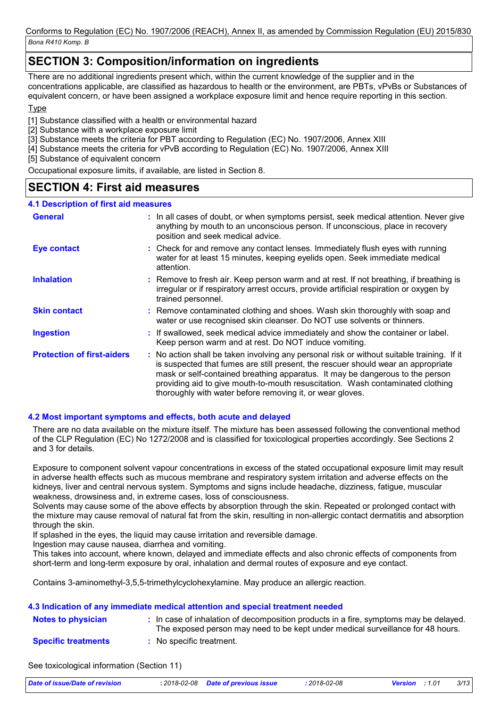### **SECTION 3: Composition/information on ingredients**

There are no additional ingredients present which, within the current knowledge of the supplier and in the concentrations applicable, are classified as hazardous to health or the environment, are PBTs, vPvBs or Substances of equivalent concern, or have been assigned a workplace exposure limit and hence require reporting in this section.

### **T**<sub>vpe</sub>

[1] Substance classified with a health or environmental hazard

[2] Substance with a workplace exposure limit

- [3] Substance meets the criteria for PBT according to Regulation (EC) No. 1907/2006, Annex XIII
- [4] Substance meets the criteria for vPvB according to Regulation (EC) No. 1907/2006, Annex XIII

[5] Substance of equivalent concern

Occupational exposure limits, if available, are listed in Section 8.

### **SECTION 4: First aid measures**

| <b>4.1 Description of first aid measures</b> |                                                                                                                                                                                                                                                                                                                                                                                                                 |
|----------------------------------------------|-----------------------------------------------------------------------------------------------------------------------------------------------------------------------------------------------------------------------------------------------------------------------------------------------------------------------------------------------------------------------------------------------------------------|
| <b>General</b>                               | : In all cases of doubt, or when symptoms persist, seek medical attention. Never give<br>anything by mouth to an unconscious person. If unconscious, place in recovery<br>position and seek medical advice.                                                                                                                                                                                                     |
| Eye contact                                  | : Check for and remove any contact lenses. Immediately flush eyes with running<br>water for at least 15 minutes, keeping eyelids open. Seek immediate medical<br>attention.                                                                                                                                                                                                                                     |
| <b>Inhalation</b>                            | : Remove to fresh air. Keep person warm and at rest. If not breathing, if breathing is<br>irregular or if respiratory arrest occurs, provide artificial respiration or oxygen by<br>trained personnel.                                                                                                                                                                                                          |
| <b>Skin contact</b>                          | : Remove contaminated clothing and shoes. Wash skin thoroughly with soap and<br>water or use recognised skin cleanser. Do NOT use solvents or thinners.                                                                                                                                                                                                                                                         |
| <b>Ingestion</b>                             | : If swallowed, seek medical advice immediately and show the container or label.<br>Keep person warm and at rest. Do NOT induce vomiting.                                                                                                                                                                                                                                                                       |
| <b>Protection of first-aiders</b>            | : No action shall be taken involving any personal risk or without suitable training. If it<br>is suspected that fumes are still present, the rescuer should wear an appropriate<br>mask or self-contained breathing apparatus. It may be dangerous to the person<br>providing aid to give mouth-to-mouth resuscitation. Wash contaminated clothing<br>thoroughly with water before removing it, or wear gloves. |

### **4.2 Most important symptoms and effects, both acute and delayed**

There are no data available on the mixture itself. The mixture has been assessed following the conventional method of the CLP Regulation (EC) No 1272/2008 and is classified for toxicological properties accordingly. See Sections 2 and 3 for details.

Exposure to component solvent vapour concentrations in excess of the stated occupational exposure limit may result in adverse health effects such as mucous membrane and respiratory system irritation and adverse effects on the kidneys, liver and central nervous system. Symptoms and signs include headache, dizziness, fatigue, muscular weakness, drowsiness and, in extreme cases, loss of consciousness.

Solvents may cause some of the above effects by absorption through the skin. Repeated or prolonged contact with the mixture may cause removal of natural fat from the skin, resulting in non-allergic contact dermatitis and absorption through the skin.

If splashed in the eyes, the liquid may cause irritation and reversible damage.

Ingestion may cause nausea, diarrhea and vomiting.

This takes into account, where known, delayed and immediate effects and also chronic effects of components from short-term and long-term exposure by oral, inhalation and dermal routes of exposure and eye contact.

Contains 3-aminomethyl-3,5,5-trimethylcyclohexylamine. May produce an allergic reaction.

|                            | 4.3 Indication of any immediate medical attention and special treatment needed                                                                                           |
|----------------------------|--------------------------------------------------------------------------------------------------------------------------------------------------------------------------|
| <b>Notes to physician</b>  | : In case of inhalation of decomposition products in a fire, symptoms may be delayed.<br>The exposed person may need to be kept under medical surveillance for 48 hours. |
| <b>Specific treatments</b> | : No specific treatment.                                                                                                                                                 |

See toxicological information (Section 11)

| Date of issue/Date of revision | : 2018-02-08 Date of previous issue | 2018-02-08 | <b>Version</b> : 1.01 | 3/13 |
|--------------------------------|-------------------------------------|------------|-----------------------|------|
|                                |                                     |            |                       |      |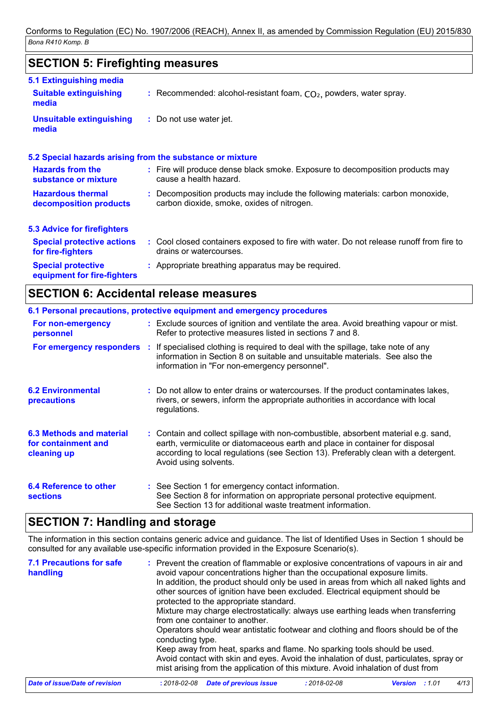## **SECTION 5: Firefighting measures**

| 5.1 Extinguishing media                                  |                                                                                                                              |
|----------------------------------------------------------|------------------------------------------------------------------------------------------------------------------------------|
| <b>Suitable extinguishing</b><br>media                   | : Recommended: alcohol-resistant foam, $CO2$ , powders, water spray.                                                         |
| <b>Unsuitable extinguishing</b><br>media                 | : Do not use water jet.                                                                                                      |
|                                                          | 5.2 Special hazards arising from the substance or mixture                                                                    |
| <b>Hazards from the</b><br>substance or mixture          | : Fire will produce dense black smoke. Exposure to decomposition products may<br>cause a health hazard.                      |
| <b>Hazardous thermal</b><br>decomposition products       | : Decomposition products may include the following materials: carbon monoxide,<br>carbon dioxide, smoke, oxides of nitrogen. |
| <b>5.3 Advice for firefighters</b>                       |                                                                                                                              |
| <b>Special protective actions</b><br>for fire-fighters   | : Cool closed containers exposed to fire with water. Do not release runoff from fire to<br>drains or watercourses.           |
| <b>Special protective</b><br>equipment for fire-fighters | : Appropriate breathing apparatus may be required.                                                                           |

# **SECTION 6: Accidental release measures**

|                                                                | 6.1 Personal precautions, protective equipment and emergency procedures                                                                                                                                                                                                            |
|----------------------------------------------------------------|------------------------------------------------------------------------------------------------------------------------------------------------------------------------------------------------------------------------------------------------------------------------------------|
| For non-emergency<br>personnel                                 | : Exclude sources of ignition and ventilate the area. Avoid breathing vapour or mist.<br>Refer to protective measures listed in sections 7 and 8.                                                                                                                                  |
| For emergency responders :                                     | If specialised clothing is required to deal with the spillage, take note of any<br>information in Section 8 on suitable and unsuitable materials. See also the<br>information in "For non-emergency personnel".                                                                    |
| <b>6.2 Environmental</b><br><b>precautions</b>                 | : Do not allow to enter drains or watercourses. If the product contaminates lakes,<br>rivers, or sewers, inform the appropriate authorities in accordance with local<br>regulations.                                                                                               |
| 6.3 Methods and material<br>for containment and<br>cleaning up | : Contain and collect spillage with non-combustible, absorbent material e.g. sand,<br>earth, vermiculite or diatomaceous earth and place in container for disposal<br>according to local regulations (see Section 13). Preferably clean with a detergent.<br>Avoid using solvents. |
| 6.4 Reference to other<br><b>sections</b>                      | : See Section 1 for emergency contact information.<br>See Section 8 for information on appropriate personal protective equipment.<br>See Section 13 for additional waste treatment information.                                                                                    |

### **SECTION 7: Handling and storage**

The information in this section contains generic advice and guidance. The list of Identified Uses in Section 1 should be consulted for any available use-specific information provided in the Exposure Scenario(s).

| <b>7.1 Precautions for safe</b><br>handling | : Prevent the creation of flammable or explosive concentrations of vapours in air and<br>avoid vapour concentrations higher than the occupational exposure limits.<br>In addition, the product should only be used in areas from which all naked lights and<br>other sources of ignition have been excluded. Electrical equipment should be<br>protected to the appropriate standard.<br>Mixture may charge electrostatically: always use earthing leads when transferring<br>from one container to another.<br>Operators should wear antistatic footwear and clothing and floors should be of the<br>conducting type.<br>Keep away from heat, sparks and flame. No sparking tools should be used.<br>Avoid contact with skin and eyes. Avoid the inhalation of dust, particulates, spray or<br>mist arising from the application of this mixture. Avoid inhalation of dust from |                    |                               |
|---------------------------------------------|----------------------------------------------------------------------------------------------------------------------------------------------------------------------------------------------------------------------------------------------------------------------------------------------------------------------------------------------------------------------------------------------------------------------------------------------------------------------------------------------------------------------------------------------------------------------------------------------------------------------------------------------------------------------------------------------------------------------------------------------------------------------------------------------------------------------------------------------------------------------------------|--------------------|-------------------------------|
| Date of issue/Date of revision              | <b>Date of previous issue</b><br>$: 2018 - 02 - 08$                                                                                                                                                                                                                                                                                                                                                                                                                                                                                                                                                                                                                                                                                                                                                                                                                              | $: 2018 - 02 - 08$ | 4/13<br><b>Version</b> : 1.01 |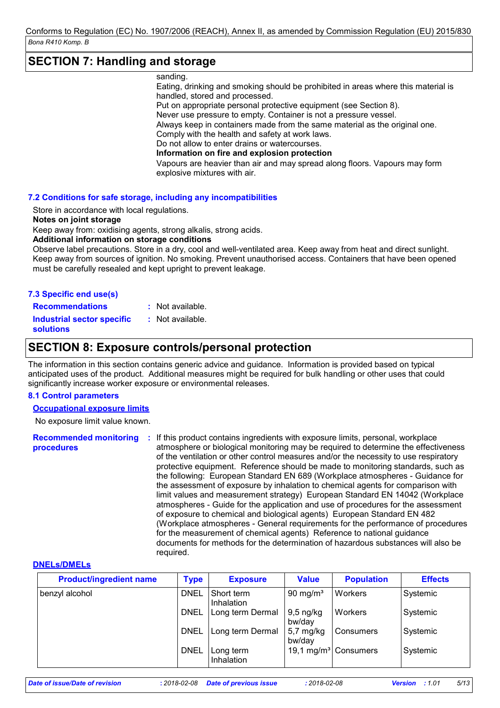### **SECTION 7: Handling and storage**

#### sanding.

Eating, drinking and smoking should be prohibited in areas where this material is handled, stored and processed.

Put on appropriate personal protective equipment (see Section 8).

Never use pressure to empty. Container is not a pressure vessel.

Always keep in containers made from the same material as the original one. Comply with the health and safety at work laws.

Do not allow to enter drains or watercourses.

**Information on fire and explosion protection**

Vapours are heavier than air and may spread along floors. Vapours may form explosive mixtures with air.

### **7.2 Conditions for safe storage, including any incompatibilities**

Store in accordance with local regulations.

#### **Notes on joint storage**

Keep away from: oxidising agents, strong alkalis, strong acids.

### **Additional information on storage conditions**

Observe label precautions. Store in a dry, cool and well-ventilated area. Keep away from heat and direct sunlight. Keep away from sources of ignition. No smoking. Prevent unauthorised access. Containers that have been opened must be carefully resealed and kept upright to prevent leakage.

**Recommendations :** : Not available.

**Industrial sector specific : solutions** Not available.

### **SECTION 8: Exposure controls/personal protection**

The information in this section contains generic advice and guidance. Information is provided based on typical anticipated uses of the product. Additional measures might be required for bulk handling or other uses that could significantly increase worker exposure or environmental releases.

### **8.1 Control parameters**

### **Occupational exposure limits**

No exposure limit value known.

Recommended monitoring : If this product contains ingredients with exposure limits, personal, workplace **procedures** atmosphere or biological monitoring may be required to determine the effectiveness of the ventilation or other control measures and/or the necessity to use respiratory protective equipment. Reference should be made to monitoring standards, such as the following: European Standard EN 689 (Workplace atmospheres - Guidance for the assessment of exposure by inhalation to chemical agents for comparison with limit values and measurement strategy) European Standard EN 14042 (Workplace atmospheres - Guide for the application and use of procedures for the assessment of exposure to chemical and biological agents) European Standard EN 482 (Workplace atmospheres - General requirements for the performance of procedures for the measurement of chemical agents) Reference to national guidance documents for methods for the determination of hazardous substances will also be required.

### **DNELs/DMELs**

| <b>Product/ingredient name</b> | <b>Type</b> | <b>Exposure</b>          | Value                         | <b>Population</b>                | <b>Effects</b> |
|--------------------------------|-------------|--------------------------|-------------------------------|----------------------------------|----------------|
| benzyl alcohol                 | <b>DNEL</b> | Short term<br>Inhalation | 90 mg/m $3$                   | Workers                          | Systemic       |
|                                | <b>DNEL</b> | Long term Dermal         | 9,5 ng/kg<br>bw/day           | Workers                          | Systemic       |
|                                | <b>DNEL</b> | Long term Dermal         | $5,7 \text{ mg/kg}$<br>bw/day | Consumers                        | Systemic       |
|                                | <b>DNEL</b> | Long term<br>Inhalation  |                               | 19,1 mg/m <sup>3</sup> Consumers | Systemic       |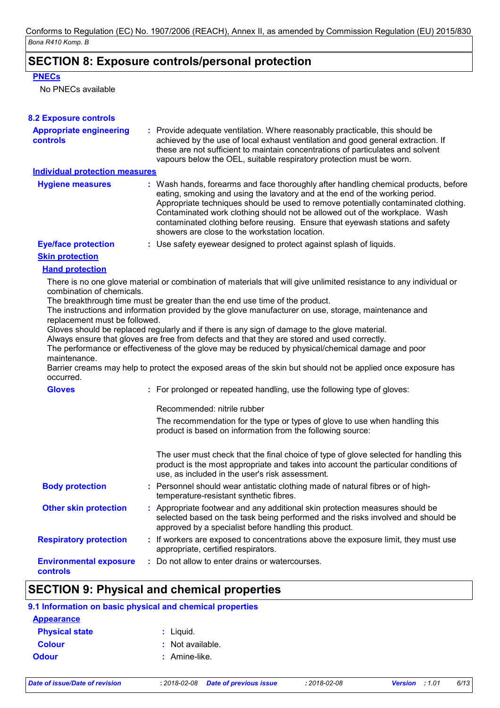### **SECTION 8: Exposure controls/personal protection**

### **PNECs**

No PNECs available

| <b>Appropriate engineering</b>        | : Provide adequate ventilation. Where reasonably practicable, this should be                                                                                                                                                                                                                                                                                                                                                                                                |
|---------------------------------------|-----------------------------------------------------------------------------------------------------------------------------------------------------------------------------------------------------------------------------------------------------------------------------------------------------------------------------------------------------------------------------------------------------------------------------------------------------------------------------|
| controls                              | achieved by the use of local exhaust ventilation and good general extraction. If<br>these are not sufficient to maintain concentrations of particulates and solvent<br>vapours below the OEL, suitable respiratory protection must be worn.                                                                                                                                                                                                                                 |
| <b>Individual protection measures</b> |                                                                                                                                                                                                                                                                                                                                                                                                                                                                             |
| <b>Hygiene measures</b>               | : Wash hands, forearms and face thoroughly after handling chemical products, before<br>eating, smoking and using the lavatory and at the end of the working period.<br>Appropriate techniques should be used to remove potentially contaminated clothing.<br>Contaminated work clothing should not be allowed out of the workplace. Wash<br>contaminated clothing before reusing. Ensure that eyewash stations and safety<br>showers are close to the workstation location. |
| <b>Eye/face protection</b>            | : Use safety eyewear designed to protect against splash of liquids.                                                                                                                                                                                                                                                                                                                                                                                                         |
| <b>Skin protection</b>                |                                                                                                                                                                                                                                                                                                                                                                                                                                                                             |
| <b>Hand protection</b>                |                                                                                                                                                                                                                                                                                                                                                                                                                                                                             |
| combination of chemicals.             | There is no one glove material or combination of materials that will give unlimited resistance to any individual or                                                                                                                                                                                                                                                                                                                                                         |
|                                       | The breakthrough time must be greater than the end use time of the product.                                                                                                                                                                                                                                                                                                                                                                                                 |
|                                       | The instructions and information provided by the glove manufacturer on use, storage, maintenance and                                                                                                                                                                                                                                                                                                                                                                        |
|                                       |                                                                                                                                                                                                                                                                                                                                                                                                                                                                             |
| replacement must be followed.         |                                                                                                                                                                                                                                                                                                                                                                                                                                                                             |
|                                       | Gloves should be replaced regularly and if there is any sign of damage to the glove material.<br>Always ensure that gloves are free from defects and that they are stored and used correctly.                                                                                                                                                                                                                                                                               |
|                                       | The performance or effectiveness of the glove may be reduced by physical/chemical damage and poor                                                                                                                                                                                                                                                                                                                                                                           |
| maintenance.<br>occurred.             | Barrier creams may help to protect the exposed areas of the skin but should not be applied once exposure has                                                                                                                                                                                                                                                                                                                                                                |
| <b>Gloves</b>                         | : For prolonged or repeated handling, use the following type of gloves:                                                                                                                                                                                                                                                                                                                                                                                                     |
|                                       | Recommended: nitrile rubber                                                                                                                                                                                                                                                                                                                                                                                                                                                 |
|                                       | The recommendation for the type or types of glove to use when handling this<br>product is based on information from the following source:                                                                                                                                                                                                                                                                                                                                   |
|                                       | The user must check that the final choice of type of glove selected for handling this<br>product is the most appropriate and takes into account the particular conditions of<br>use, as included in the user's risk assessment.                                                                                                                                                                                                                                             |
| <b>Body protection</b>                | : Personnel should wear antistatic clothing made of natural fibres or of high-<br>temperature-resistant synthetic fibres.                                                                                                                                                                                                                                                                                                                                                   |
| <b>Other skin protection</b>          | : Appropriate footwear and any additional skin protection measures should be<br>selected based on the task being performed and the risks involved and should be<br>approved by a specialist before handling this product.                                                                                                                                                                                                                                                   |
| <b>Respiratory protection</b>         | : If workers are exposed to concentrations above the exposure limit, they must use<br>appropriate, certified respirators.                                                                                                                                                                                                                                                                                                                                                   |

#### $\mathbf l$ **9.1 Information on basic physical and chemical properties**

| <b>Appearance</b>     |                    |
|-----------------------|--------------------|
| <b>Physical state</b> | : Liquid.          |
| <b>Colour</b>         | $:$ Not available. |
| <b>Odour</b>          | : Amine-like.      |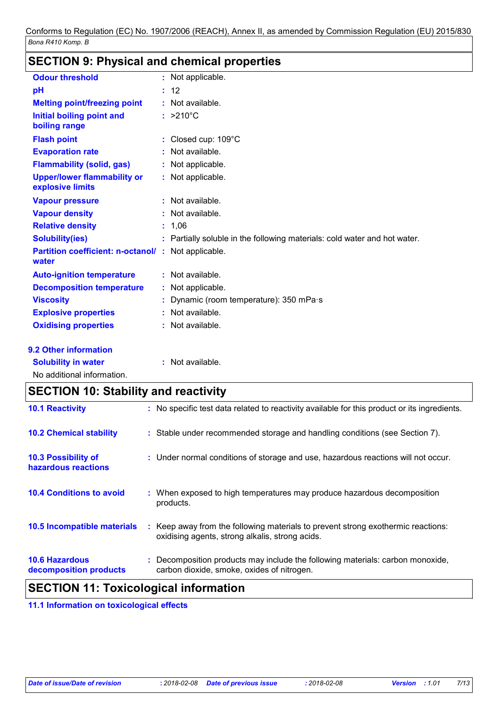# **SECTION 9: Physical and chemical properties**

| <b>Odour threshold</b>                                 | : Not applicable.                                                         |
|--------------------------------------------------------|---------------------------------------------------------------------------|
| pH                                                     | : 12                                                                      |
| <b>Melting point/freezing point</b>                    | : Not available.                                                          |
| Initial boiling point and<br>boiling range             | $: >210^{\circ}$ C                                                        |
| <b>Flash point</b>                                     | : Closed cup: 109°C                                                       |
| <b>Evaporation rate</b>                                | : Not available.                                                          |
| <b>Flammability (solid, gas)</b>                       | : Not applicable.                                                         |
| <b>Upper/lower flammability or</b><br>explosive limits | : Not applicable.                                                         |
| <b>Vapour pressure</b>                                 | : Not available.                                                          |
| <b>Vapour density</b>                                  | : Not available.                                                          |
| <b>Relative density</b>                                | : 1,06                                                                    |
| <b>Solubility(ies)</b>                                 | : Partially soluble in the following materials: cold water and hot water. |
| <b>Partition coefficient: n-octanol/</b><br>water      | : Not applicable.                                                         |
| <b>Auto-ignition temperature</b>                       | : Not available.                                                          |
| <b>Decomposition temperature</b>                       | : Not applicable.                                                         |
| <b>Viscosity</b>                                       | Dynamic (room temperature): 350 mPa·s                                     |
| <b>Explosive properties</b>                            | : Not available.                                                          |
| <b>Oxidising properties</b>                            | : Not available.                                                          |
| 9.2 Other information                                  |                                                                           |
| <b>Solubility in water</b>                             | : Not available.                                                          |

No additional information.

# **SECTION 10: Stability and reactivity**

|                                                 | .                                                                                                                                   |
|-------------------------------------------------|-------------------------------------------------------------------------------------------------------------------------------------|
| <b>10.6 Hazardous</b><br>decomposition products | : Decomposition products may include the following materials: carbon monoxide,<br>carbon dioxide, smoke, oxides of nitrogen.        |
| <b>10.5 Incompatible materials</b>              | : Keep away from the following materials to prevent strong exothermic reactions:<br>oxidising agents, strong alkalis, strong acids. |
| <b>10.4 Conditions to avoid</b>                 | : When exposed to high temperatures may produce hazardous decomposition<br>products.                                                |
| 10.3 Possibility of<br>hazardous reactions      | : Under normal conditions of storage and use, hazardous reactions will not occur.                                                   |
| <b>10.2 Chemical stability</b>                  | : Stable under recommended storage and handling conditions (see Section 7).                                                         |
| <b>10.1 Reactivity</b>                          | : No specific test data related to reactivity available for this product or its ingredients.                                        |

### **SECTION 11: Toxicological information**

**11.1 Information on toxicological effects**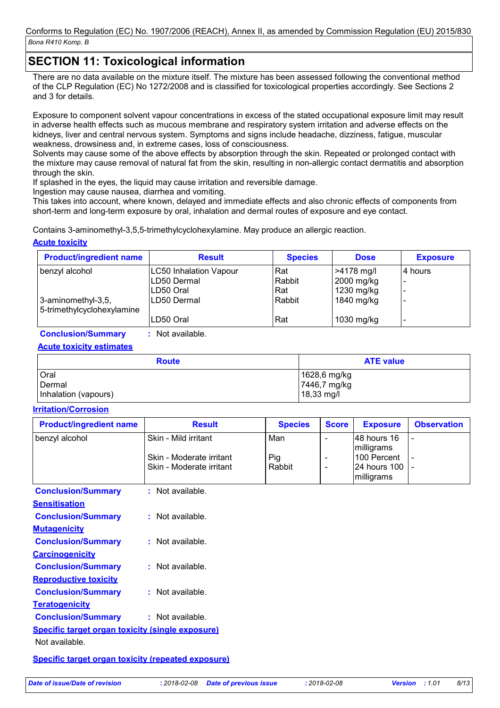# **SECTION 11: Toxicological information**

There are no data available on the mixture itself. The mixture has been assessed following the conventional method of the CLP Regulation (EC) No 1272/2008 and is classified for toxicological properties accordingly. See Sections 2 and 3 for details.

Exposure to component solvent vapour concentrations in excess of the stated occupational exposure limit may result in adverse health effects such as mucous membrane and respiratory system irritation and adverse effects on the kidneys, liver and central nervous system. Symptoms and signs include headache, dizziness, fatigue, muscular weakness, drowsiness and, in extreme cases, loss of consciousness.

Solvents may cause some of the above effects by absorption through the skin. Repeated or prolonged contact with the mixture may cause removal of natural fat from the skin, resulting in non-allergic contact dermatitis and absorption through the skin.

If splashed in the eyes, the liquid may cause irritation and reversible damage.

Ingestion may cause nausea, diarrhea and vomiting.

This takes into account, where known, delayed and immediate effects and also chronic effects of components from short-term and long-term exposure by oral, inhalation and dermal routes of exposure and eye contact.

Contains 3-aminomethyl-3,5,5-trimethylcyclohexylamine. May produce an allergic reaction.

### **Acute toxicity**

| <b>Product/ingredient name</b>                   | <b>Result</b>                 | <b>Species</b> | <b>Dose</b> | <b>Exposure</b>          |
|--------------------------------------------------|-------------------------------|----------------|-------------|--------------------------|
| benzyl alcohol                                   | <b>LC50 Inhalation Vapour</b> | Rat            | >4178 mg/l  | 4 hours                  |
|                                                  | LD50 Dermal                   | Rabbit         | 2000 mg/kg  |                          |
|                                                  | ILD50 Oral                    | Rat            | 1230 mg/kg  | $\overline{\phantom{a}}$ |
| 3-aminomethyl-3,5,<br>5-trimethylcyclohexylamine | LD50 Dermal                   | Rabbit         | 1840 mg/kg  |                          |
|                                                  | LD50 Oral                     | Rat            | 1030 mg/kg  | $\overline{\phantom{a}}$ |

**Conclusion/Summary :** Not available.

### **Acute toxicity estimates**

| <b>Route</b>         | <b>ATE value</b> |  |
|----------------------|------------------|--|
| Oral                 | 1628,6 mg/kg     |  |
| Dermal               | 7446,7 mg/kg     |  |
| Inhalation (vapours) | 18,33 mg/l       |  |

### **Irritation/Corrosion**

| <b>Product/ingredient name</b>                          | <b>Result</b>            | <b>Species</b> | <b>Score</b>             | <b>Exposure</b>            | <b>Observation</b> |
|---------------------------------------------------------|--------------------------|----------------|--------------------------|----------------------------|--------------------|
| benzyl alcohol                                          | Skin - Mild irritant     | Man            |                          | 48 hours 16                |                    |
|                                                         |                          |                |                          | milligrams                 |                    |
|                                                         | Skin - Moderate irritant | Pig            | $\overline{\phantom{a}}$ | 100 Percent                |                    |
|                                                         | Skin - Moderate irritant | Rabbit         | $\overline{\phantom{a}}$ | 24 hours 100<br>milligrams |                    |
| <b>Conclusion/Summary</b>                               | : Not available.         |                |                          |                            |                    |
| <b>Sensitisation</b>                                    |                          |                |                          |                            |                    |
| <b>Conclusion/Summary</b>                               | : Not available.         |                |                          |                            |                    |
| <b>Mutagenicity</b>                                     |                          |                |                          |                            |                    |
| <b>Conclusion/Summary</b>                               | $:$ Not available.       |                |                          |                            |                    |
| <b>Carcinogenicity</b>                                  |                          |                |                          |                            |                    |
| <b>Conclusion/Summary</b>                               | $:$ Not available.       |                |                          |                            |                    |
| <b>Reproductive toxicity</b>                            |                          |                |                          |                            |                    |
| <b>Conclusion/Summary</b>                               | : Not available.         |                |                          |                            |                    |
| <b>Teratogenicity</b>                                   |                          |                |                          |                            |                    |
| <b>Conclusion/Summary</b>                               | : Not available.         |                |                          |                            |                    |
| <b>Specific target organ toxicity (single exposure)</b> |                          |                |                          |                            |                    |
|                                                         |                          |                |                          |                            |                    |

Not available.

**Specific target organ toxicity (repeated exposure)**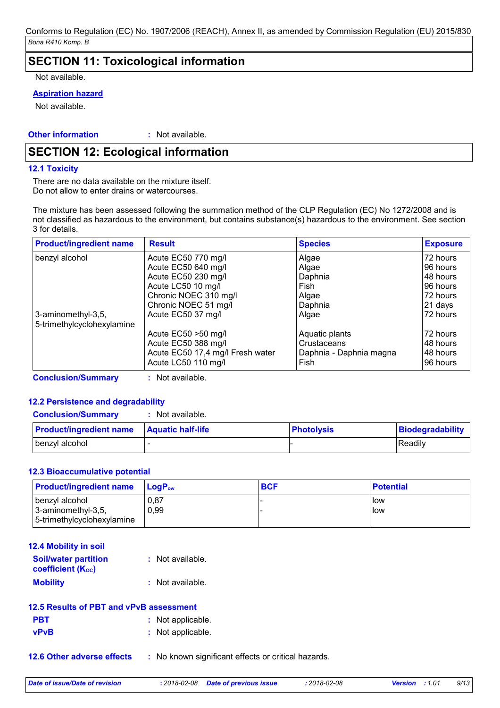### **SECTION 11: Toxicological information**

Not available.

### **Aspiration hazard**

Not available.

**Other information :**

: Not available.

## **SECTION 12: Ecological information**

### **12.1 Toxicity**

There are no data available on the mixture itself. Do not allow to enter drains or watercourses.

The mixture has been assessed following the summation method of the CLP Regulation (EC) No 1272/2008 and is not classified as hazardous to the environment, but contains substance(s) hazardous to the environment. See section 3 for details.

| <b>Product/ingredient name</b>                   | <b>Result</b>                    | <b>Species</b>          | <b>Exposure</b> |
|--------------------------------------------------|----------------------------------|-------------------------|-----------------|
| benzyl alcohol                                   | Acute EC50 770 mg/l              | Algae                   | 72 hours        |
|                                                  | Acute EC50 640 mg/l              | Algae                   | 96 hours        |
|                                                  | Acute EC50 230 mg/l              | Daphnia                 | 48 hours        |
|                                                  | Acute LC50 10 mg/l               | Fish                    | 96 hours        |
|                                                  | Chronic NOEC 310 mg/l            | Algae                   | 72 hours        |
|                                                  | Chronic NOEC 51 mg/l             | Daphnia                 | 21 days         |
| 3-aminomethyl-3,5,<br>5-trimethylcyclohexylamine | Acute EC50 37 mg/l               | Algae                   | 72 hours        |
|                                                  | Acute EC50 > 50 mg/l             | Aquatic plants          | 72 hours        |
|                                                  | Acute EC50 388 mg/l              | Crustaceans             | 48 hours        |
|                                                  | Acute EC50 17,4 mg/l Fresh water | Daphnia - Daphnia magna | 48 hours        |
|                                                  | Acute LC50 110 mg/l              | Fish                    | 96 hours        |

**Conclusion/Summary :** Not available.

### **12.2 Persistence and degradability**

| <b>Conclusion/Summary</b> | Not available. |
|---------------------------|----------------|
|---------------------------|----------------|

| <b>Product/ingredient name</b> | <b>Aquatic half-life</b> | <b>Photolysis</b> | Biodegradability |
|--------------------------------|--------------------------|-------------------|------------------|
| I benzyl alcohol               |                          |                   | l Readilv        |

### **12.3 Bioaccumulative potential**

| <b>Product/ingredient name</b>                                     | <b>LogP</b> <sub>ow</sub> | <b>BCF</b> | <b>Potential</b> |
|--------------------------------------------------------------------|---------------------------|------------|------------------|
| benzyl alcohol<br>3-aminomethyl-3,5,<br>5-trimethylcyclohexylamine | 0,87<br>0,99              |            | l low<br>llow    |

| <b>12.4 Mobility in soil</b>                            |                    |
|---------------------------------------------------------|--------------------|
| <b>Soil/water partition</b><br><b>coefficient (Koc)</b> | $:$ Not available. |
| <b>Mobility</b>                                         | : Not available.   |

|             | 12.5 Results of PBT and vPvB assessment |
|-------------|-----------------------------------------|
| <b>PBT</b>  | : Not applicable.                       |
| <b>vPvB</b> | : Not applicable.                       |

**12.6 Other adverse effects** : No known significant effects or critical hazards.

*Date of issue/Date of revision* **:** *2018-02-08 Date of previous issue : 2018-02-08 Version : 1.01 9/13*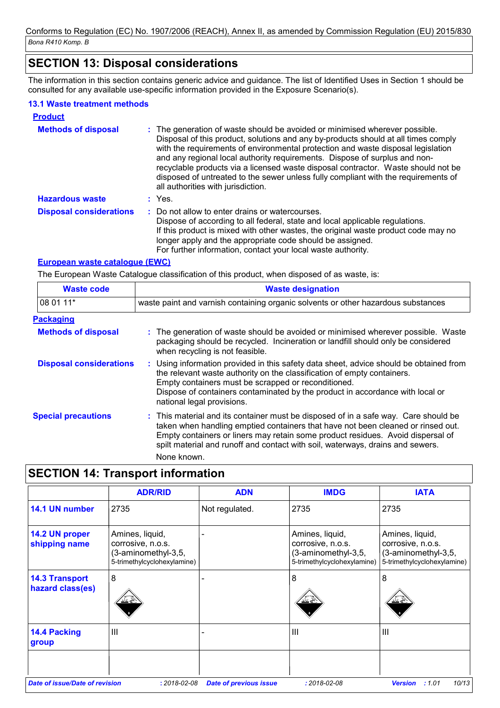### **SECTION 13: Disposal considerations**

The information in this section contains generic advice and guidance. The list of Identified Uses in Section 1 should be consulted for any available use-specific information provided in the Exposure Scenario(s).

### **13.1 Waste treatment methods**

| <b>Product</b>                 |                                                                                                                                                                                                                                                                                                                                                                                                                                                                                                                                                      |
|--------------------------------|------------------------------------------------------------------------------------------------------------------------------------------------------------------------------------------------------------------------------------------------------------------------------------------------------------------------------------------------------------------------------------------------------------------------------------------------------------------------------------------------------------------------------------------------------|
| <b>Methods of disposal</b>     | : The generation of waste should be avoided or minimised wherever possible.<br>Disposal of this product, solutions and any by-products should at all times comply<br>with the requirements of environmental protection and waste disposal legislation<br>and any regional local authority requirements. Dispose of surplus and non-<br>recyclable products via a licensed waste disposal contractor. Waste should not be<br>disposed of untreated to the sewer unless fully compliant with the requirements of<br>all authorities with jurisdiction. |
| <b>Hazardous waste</b>         | $:$ Yes.                                                                                                                                                                                                                                                                                                                                                                                                                                                                                                                                             |
| <b>Disposal considerations</b> | : Do not allow to enter drains or watercourses.<br>Dispose of according to all federal, state and local applicable regulations.<br>If this product is mixed with other wastes, the original waste product code may no<br>longer apply and the appropriate code should be assigned.<br>For further information, contact your local waste authority.                                                                                                                                                                                                   |

### **European waste catalogue (EWC)**

The European Waste Catalogue classification of this product, when disposed of as waste, is:

| <b>Waste code</b>              | <b>Waste designation</b>                                                                                                                                                                                                                                                                                                                                    |
|--------------------------------|-------------------------------------------------------------------------------------------------------------------------------------------------------------------------------------------------------------------------------------------------------------------------------------------------------------------------------------------------------------|
| 108 01 11*                     | waste paint and varnish containing organic solvents or other hazardous substances                                                                                                                                                                                                                                                                           |
| <b>Packaging</b>               |                                                                                                                                                                                                                                                                                                                                                             |
| <b>Methods of disposal</b>     | : The generation of waste should be avoided or minimised wherever possible. Waste<br>packaging should be recycled. Incineration or landfill should only be considered<br>when recycling is not feasible.                                                                                                                                                    |
| <b>Disposal considerations</b> | : Using information provided in this safety data sheet, advice should be obtained from<br>the relevant waste authority on the classification of empty containers.<br>Empty containers must be scrapped or reconditioned.<br>Dispose of containers contaminated by the product in accordance with local or<br>national legal provisions.                     |
| <b>Special precautions</b>     | : This material and its container must be disposed of in a safe way. Care should be<br>taken when handling emptied containers that have not been cleaned or rinsed out.<br>Empty containers or liners may retain some product residues. Avoid dispersal of<br>spilt material and runoff and contact with soil, waterways, drains and sewers.<br>None known. |

# **SECTION 14: Transport information**

|                                           | <b>ADR/RID</b>                                                                             | <b>ADN</b>                    | <b>IMDG</b>                                                                                | <b>IATA</b>                                                                                |
|-------------------------------------------|--------------------------------------------------------------------------------------------|-------------------------------|--------------------------------------------------------------------------------------------|--------------------------------------------------------------------------------------------|
| 14.1 UN number                            | 2735                                                                                       | Not regulated.                | 2735                                                                                       | 2735                                                                                       |
| 14.2 UN proper<br>shipping name           | Amines, liquid,<br>corrosive, n.o.s.<br>(3-aminomethyl-3,5,<br>5-trimethylcyclohexylamine) |                               | Amines, liquid,<br>corrosive, n.o.s.<br>(3-aminomethyl-3,5,<br>5-trimethylcyclohexylamine) | Amines, liquid,<br>corrosive, n.o.s.<br>(3-aminomethyl-3,5,<br>5-trimethylcyclohexylamine) |
| <b>14.3 Transport</b><br>hazard class(es) | 8<br>--                                                                                    |                               | 8                                                                                          | 8                                                                                          |
| 14.4 Packing<br>group                     | Ш                                                                                          |                               | $\mathbf{III}$                                                                             | $\mathbf{III}$                                                                             |
| Date of issue/Date of revision            | $: 2018 - 02 - 08$                                                                         | <b>Date of previous issue</b> | $: 2018 - 02 - 08$                                                                         | :1.01<br>10/13<br><b>Version</b>                                                           |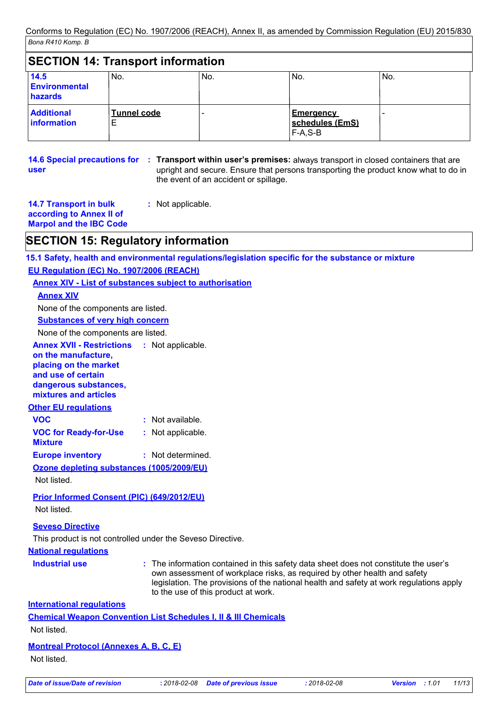|                                         | <b>SECTION 14: Transport information</b> |     |                                                  |     |
|-----------------------------------------|------------------------------------------|-----|--------------------------------------------------|-----|
| 14.5<br><b>Environmental</b><br>hazards | No.                                      | No. | No.                                              | No. |
| <b>Additional</b><br><b>information</b> | <b>Tunnel code</b><br>E                  |     | <b>Emergency</b><br>schedules (EmS)<br>$F-A.S-B$ |     |

**14.6 Special precautions for : Transport within user's premises: always transport in closed containers that are user** upright and secure. Ensure that persons transporting the product know what to do in the event of an accident or spillage.

| <b>14.7 Transport in bulk</b> | : Not applicable. |
|-------------------------------|-------------------|
| according to Annex II of      |                   |

**Marpol and the IBC Code**

### **SECTION 15: Regulatory information**

**15.1 Safety, health and environmental regulations/legislation specific for the substance or mixture**

**EU Regulation (EC) No. 1907/2006 (REACH)**

### **Annex XIV - List of substances subject to authorisation**

**Annex XIV**

None of the components are listed.

**Substances of very high concern**

None of the components are listed.

| <b>Annex XVII - Restrictions</b> | : Not applicable. |
|----------------------------------|-------------------|
| on the manufacture,              |                   |
| placing on the market            |                   |
| and use of certain               |                   |
| dangerous substances,            |                   |
| mixtures and articles            |                   |
| <b>Other EU regulations</b>      |                   |

**VOC :** Not available.

- **VOC for Ready-for-Use :** Not applicable.
- **Mixture**

**Europe inventory :** Not determined.

**Ozone depleting substances (1005/2009/EU)**

Not listed.

### **Prior Informed Consent (PIC) (649/2012/EU)** Not listed.

### **Seveso Directive**

This product is not controlled under the Seveso Directive.

### **National regulations**

**Industrial use <b>:** The information contained in this safety data sheet does not constitute the user's own assessment of workplace risks, as required by other health and safety legislation. The provisions of the national health and safety at work regulations apply to the use of this product at work.

**International regulations**

**Chemical Weapon Convention List Schedules I, II & III Chemicals**

Not listed.

### **Montreal Protocol (Annexes A, B, C, E)**

Not listed.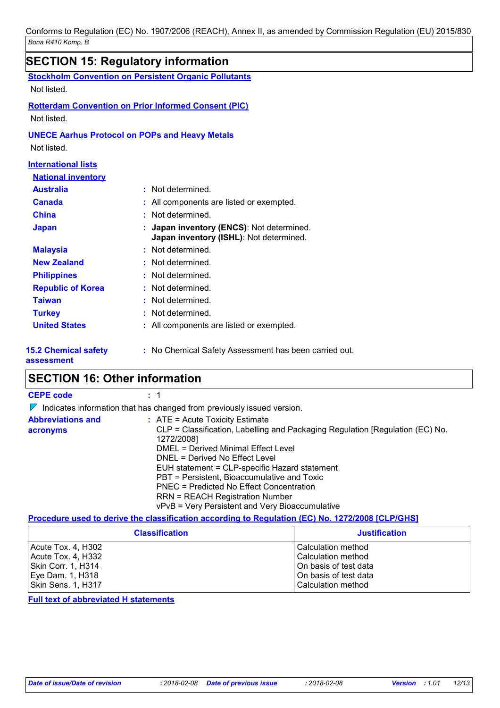|                                                         | <b>SECTION 15: Regulatory information</b>                                          |
|---------------------------------------------------------|------------------------------------------------------------------------------------|
|                                                         | <b>Stockholm Convention on Persistent Organic Pollutants</b>                       |
| Not listed.                                             |                                                                                    |
| Not listed.                                             | <b>Rotterdam Convention on Prior Informed Consent (PIC)</b>                        |
| Not listed.                                             | <b>UNECE Aarhus Protocol on POPs and Heavy Metals</b>                              |
| <b>International lists</b><br><b>National inventory</b> |                                                                                    |
| <b>Australia</b>                                        | : Not determined.                                                                  |
| <b>Canada</b>                                           | All components are listed or exempted.                                             |
| <b>China</b>                                            | Not determined.                                                                    |
| <b>Japan</b>                                            | Japan inventory (ENCS): Not determined.<br>Japan inventory (ISHL): Not determined. |
| <b>Malaysia</b>                                         | Not determined.                                                                    |
| <b>New Zealand</b>                                      | Not determined.                                                                    |
| <b>Philippines</b>                                      | Not determined.                                                                    |
| <b>Republic of Korea</b>                                | Not determined.                                                                    |
| <b>Taiwan</b>                                           | Not determined.                                                                    |
| <b>Turkey</b>                                           | Not determined.                                                                    |
| <b>United States</b>                                    | : All components are listed or exempted.                                           |
| <b>15.2 Chemical safety</b><br>assessment               | : No Chemical Safety Assessment has been carried out.                              |

### **SECTION 16: Other information**

| <b>CEPE code</b>                     | : 1                                                                                                                                                                                                                                                                                                                                                                                                                                                |
|--------------------------------------|----------------------------------------------------------------------------------------------------------------------------------------------------------------------------------------------------------------------------------------------------------------------------------------------------------------------------------------------------------------------------------------------------------------------------------------------------|
| $\mathbb{Z}$                         | Indicates information that has changed from previously issued version.                                                                                                                                                                                                                                                                                                                                                                             |
| <b>Abbreviations and</b><br>acronyms | $:$ ATE = Acute Toxicity Estimate<br>CLP = Classification, Labelling and Packaging Regulation [Regulation (EC) No.<br>1272/2008]<br>DMEL = Derived Minimal Effect Level<br>DNEL = Derived No Effect Level<br>EUH statement = CLP-specific Hazard statement<br>PBT = Persistent, Bioaccumulative and Toxic<br>PNEC = Predicted No Effect Concentration<br><b>RRN = REACH Registration Number</b><br>vPvB = Very Persistent and Very Bioaccumulative |

### **Procedure used to derive the classification according to Regulation (EC) No. 1272/2008 [CLP/GHS]**

| <b>Classification</b> | <b>Justification</b>  |
|-----------------------|-----------------------|
| Acute Tox. 4, H302    | Calculation method    |
| Acute Tox. 4, H332    | Calculation method    |
| Skin Corr. 1, H314    | On basis of test data |
| Eye Dam. 1, H318      | On basis of test data |
| Skin Sens. 1, H317    | Calculation method    |

### **Full text of abbreviated H statements**